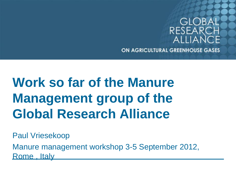

# **Work so far of the Manure Management group of the Global Research Alliance**

Paul Vriesekoop

Manure management workshop 3-5 September 2012, Rome , Italy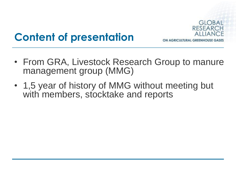

# **Content of presentation**

- From GRA, Livestock Research Group to manure management group (MMG)
- 1,5 year of history of MMG without meeting but with members, stocktake and reports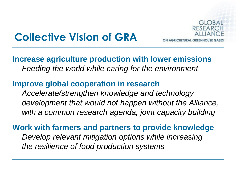

## **Collective Vision of GRA**

### **Increase agriculture production with lower emissions** *Feeding the world while caring for the environment*

### **Improve global cooperation in research** *Accelerate/strengthen knowledge and technology development that would not happen without the Alliance, with a common research agenda, joint capacity building*

**Work with farmers and partners to provide knowledge** *Develop relevant mitigation options while increasing the resilience of food production systems*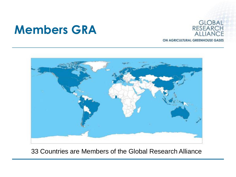# **Members GRA**





33 Countries are Members of the Global Research Alliance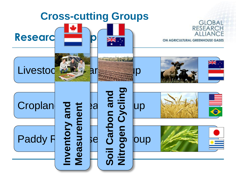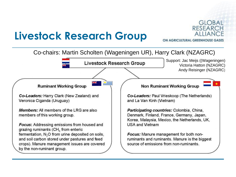## **Livestock Research Group**



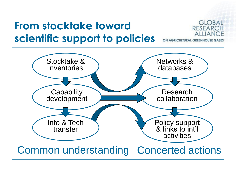## **From stocktake toward scientific support to policies**



ON AGRICULTURAL GREENHOUSE

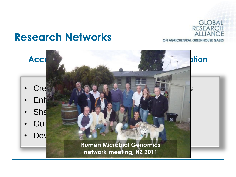

ON AGRICULTURAL GREENHOUSE GASES

## **Research Networks**

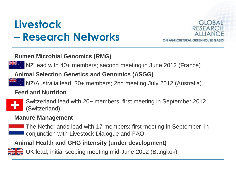# **Livestock – Research Networks**



#### **Rumen Microbial Genomics (RMG)**

NZ lead with 40+ members; second meeting in June 2012 (France)

#### **Animal Selection Genetics and Genomics (ASGG)**

NZ/Australia lead; 30+ members; 2nd meeting July 2012 (Australia)

#### **Feed and Nutrition**



• Switzerland lead with 20+ members; first meeting in September 2012 (Switzerland)

#### **Manure Management**



• The Netherlands lead with 17 members; first meeting in September in conjunction with Livestock Dialogue and FAO

#### **Animal Health and GHG intensity (under development)**

• UK lead; initial scoping meeting mid-June 2012 (Bangkok)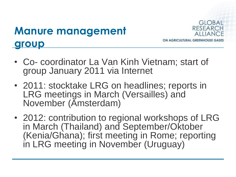# **Manure management group**



- Co- coordinator La Van Kinh Vietnam; start of group January 2011 via Internet
- 2011: stocktake LRG on headlines; reports in LRG meetings in March (Versailles) and November (Amsterdam)
- 2012: contribution to regional workshops of LRG in March (Thailand) and September/Oktober (Kenia/Ghana); first meeting in Rome; reporting in LRG meeting in November (Uruguay)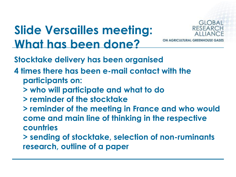# **Slide Versailles meeting: What has been done?**

![](_page_10_Picture_1.jpeg)

**Stocktake delivery has been organised**

- **4 times there has been e-mail contact with the participants on:**
	- **> who will participate and what to do**
	- **> reminder of the stocktake**
	- **> reminder of the meeting in France and who would come and main line of thinking in the respective countries**
	- **> sending of stocktake, selection of non-ruminants research, outline of a paper**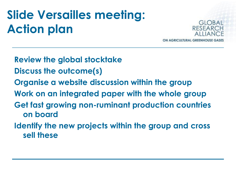# **Slide Versailles meeting: Action plan**

![](_page_11_Picture_1.jpeg)

**Review the global stocktake Discuss the outcome(s) Organise a website discussion within the group Work on an integrated paper with the whole group Get fast growing non-ruminant production countries on board Identify the new projects within the group and cross sell these**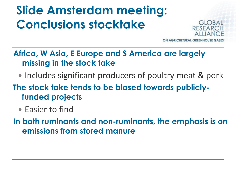# **Slide Amsterdam meeting: Conclusions stocktake**

![](_page_12_Picture_1.jpeg)

**GRICULTURAL GREEN** 

### **Africa, W Asia, E Europe and S America are largely missing in the stock take**

• Includes significant producers of poultry meat & pork

**The stock take tends to be biased towards publiclyfunded projects**

• Easier to find

**In both ruminants and non-ruminants, the emphasis is on emissions from stored manure**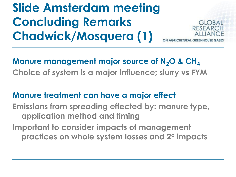# **Slide Amsterdam meeting Concluding Remarks Chadwick/Mosquera (1)**

![](_page_13_Picture_1.jpeg)

## **Manure management major source of N2O & CH<sup>4</sup>**

**Choice of system is a major influence; slurry vs FYM**

### **Manure treatment can have a major effect**

**Emissions from spreading effected by: manure type, application method and timing Important to consider impacts of management practices on whole system losses and 2<sup>o</sup> impacts**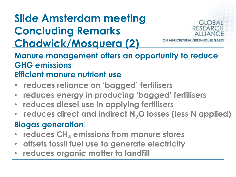# **Slide Amsterdam meeting Concluding Remarks Chadwick/Mosquera (2)**

![](_page_14_Picture_1.jpeg)

**Manure management offers an opportunity to reduce GHG emissions Efficient manure nutrient use**

- **reduces reliance on 'bagged' fertilisers**
- • **reduces energy in producing 'bagged' fertilisers**
- **reduces diesel use in applying fertilisers**
- • **reduces direct and indirect N2O losses (less N applied)**

### **Biogas generation**:

- **reduces CH<sup>4</sup> emissions from manure stores**
- **offsets fossil fuel use to generate electricity**
- **reduces organic matter to landfill**